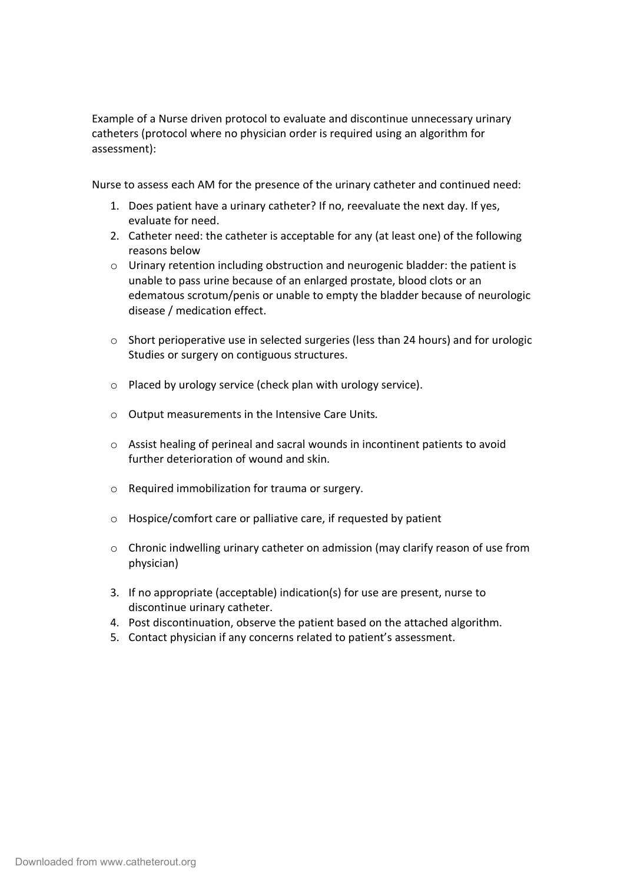Example of a Nurse driven protocol to evaluate and discontinue unnecessary urinary catheters (protocol where no physician order is required using an algorithm for assessment):

Nurse to assess each AM for the presence of the urinary catheter and continued need:

- 1. Does patient have a urinary catheter? If no, reevaluate the next day. If yes, evaluate for need.
- 2. Catheter need: the catheter is acceptable for any (at least one) of the following reasons below
- $\circ$  Urinary retention including obstruction and neurogenic bladder: the patient is unable to pass urine because of an enlarged prostate, blood clots or an edematous scrotum/penis or unable to empty the bladder because of neurologic disease / medication effect.
- $\circ$  Short perioperative use in selected surgeries (less than 24 hours) and for urologic Studies or surgery on contiguous structures.
- o Placed by urology service (check plan with urology service).
- o Output measurements in the Intensive Care Units*.*
- o Assist healing of perineal and sacral wounds in incontinent patients to avoid further deterioration of wound and skin.
- o Required immobilization for trauma or surgery.
- o Hospice/comfort care or palliative care, if requested by patient
- o Chronic indwelling urinary catheter on admission (may clarify reason of use from physician)
- 3. If no appropriate (acceptable) indication(s) for use are present, nurse to discontinue urinary catheter.
- 4. Post discontinuation, observe the patient based on the attached algorithm.
- 5. Contact physician if any concerns related to patient's assessment.